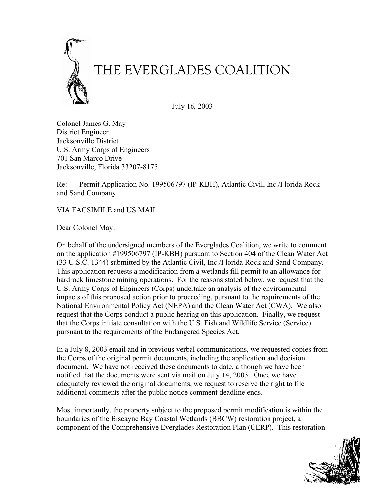

Colonel James G. May District Engineer Jacksonville District U.S. Army Corps of Engineers 701 San Marco Drive Jacksonville, Florida 33207-8175

Re: Permit Application No. 199506797 (IP-KBH), Atlantic Civil, Inc./Florida Rock and Sand Company

VIA FACSIMILE and US MAIL

Dear Colonel May:

On behalf of the undersigned members of the Everglades Coalition, we write to comment on the application #199506797 (IP-KBH) pursuant to Section 404 of the Clean Water Act (33 U.S.C. 1344) submitted by the Atlantic Civil, Inc./Florida Rock and Sand Company. This application requests a modification from a wetlands fill permit to an allowance for hardrock limestone mining operations. For the reasons stated below, we request that the U.S. Army Corps of Engineers (Corps) undertake an analysis of the environmental impacts of this proposed action prior to proceeding, pursuant to the requirements of the National Environmental Policy Act (NEPA) and the Clean Water Act (CWA). We also request that the Corps conduct a public hearing on this application. Finally, we request that the Corps initiate consultation with the U.S. Fish and Wildlife Service (Service) pursuant to the requirements of the Endangered Species Act.

In a July 8, 2003 email and in previous verbal communications, we requested copies from the Corps of the original permit documents, including the application and decision document. We have not received these documents to date, although we have been notified that the documents were sent via mail on July 14, 2003. Once we have adequately reviewed the original documents, we request to reserve the right to file additional comments after the public notice comment deadline ends.

Most importantly, the property subject to the proposed permit modification is within the boundaries of the Biscayne Bay Coastal Wetlands (BBCW) restoration project, a component of the Comprehensive Everglades Restoration Plan (CERP). This restoration

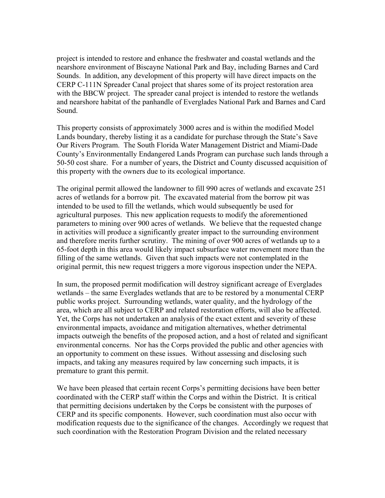project is intended to restore and enhance the freshwater and coastal wetlands and the nearshore environment of Biscayne National Park and Bay, including Barnes and Card Sounds. In addition, any development of this property will have direct impacts on the CERP C-111N Spreader Canal project that shares some of its project restoration area with the BBCW project. The spreader canal project is intended to restore the wetlands and nearshore habitat of the panhandle of Everglades National Park and Barnes and Card Sound.

This property consists of approximately 3000 acres and is within the modified Model Lands boundary, thereby listing it as a candidate for purchase through the State's Save Our Rivers Program. The South Florida Water Management District and Miami-Dade County's Environmentally Endangered Lands Program can purchase such lands through a 50-50 cost share. For a number of years, the District and County discussed acquisition of this property with the owners due to its ecological importance.

The original permit allowed the landowner to fill 990 acres of wetlands and excavate 251 acres of wetlands for a borrow pit. The excavated material from the borrow pit was intended to be used to fill the wetlands, which would subsequently be used for agricultural purposes. This new application requests to modify the aforementioned parameters to mining over 900 acres of wetlands. We believe that the requested change in activities will produce a significantly greater impact to the surrounding environment and therefore merits further scrutiny. The mining of over 900 acres of wetlands up to a 65-foot depth in this area would likely impact subsurface water movement more than the filling of the same wetlands. Given that such impacts were not contemplated in the original permit, this new request triggers a more vigorous inspection under the NEPA.

In sum, the proposed permit modification will destroy significant acreage of Everglades wetlands – the same Everglades wetlands that are to be restored by a monumental CERP public works project. Surrounding wetlands, water quality, and the hydrology of the area, which are all subject to CERP and related restoration efforts, will also be affected. Yet, the Corps has not undertaken an analysis of the exact extent and severity of these environmental impacts, avoidance and mitigation alternatives, whether detrimental impacts outweigh the benefits of the proposed action, and a host of related and significant environmental concerns. Nor has the Corps provided the public and other agencies with an opportunity to comment on these issues. Without assessing and disclosing such impacts, and taking any measures required by law concerning such impacts, it is premature to grant this permit.

We have been pleased that certain recent Corps's permitting decisions have been better coordinated with the CERP staff within the Corps and within the District. It is critical that permitting decisions undertaken by the Corps be consistent with the purposes of CERP and its specific components. However, such coordination must also occur with modification requests due to the significance of the changes. Accordingly we request that such coordination with the Restoration Program Division and the related necessary